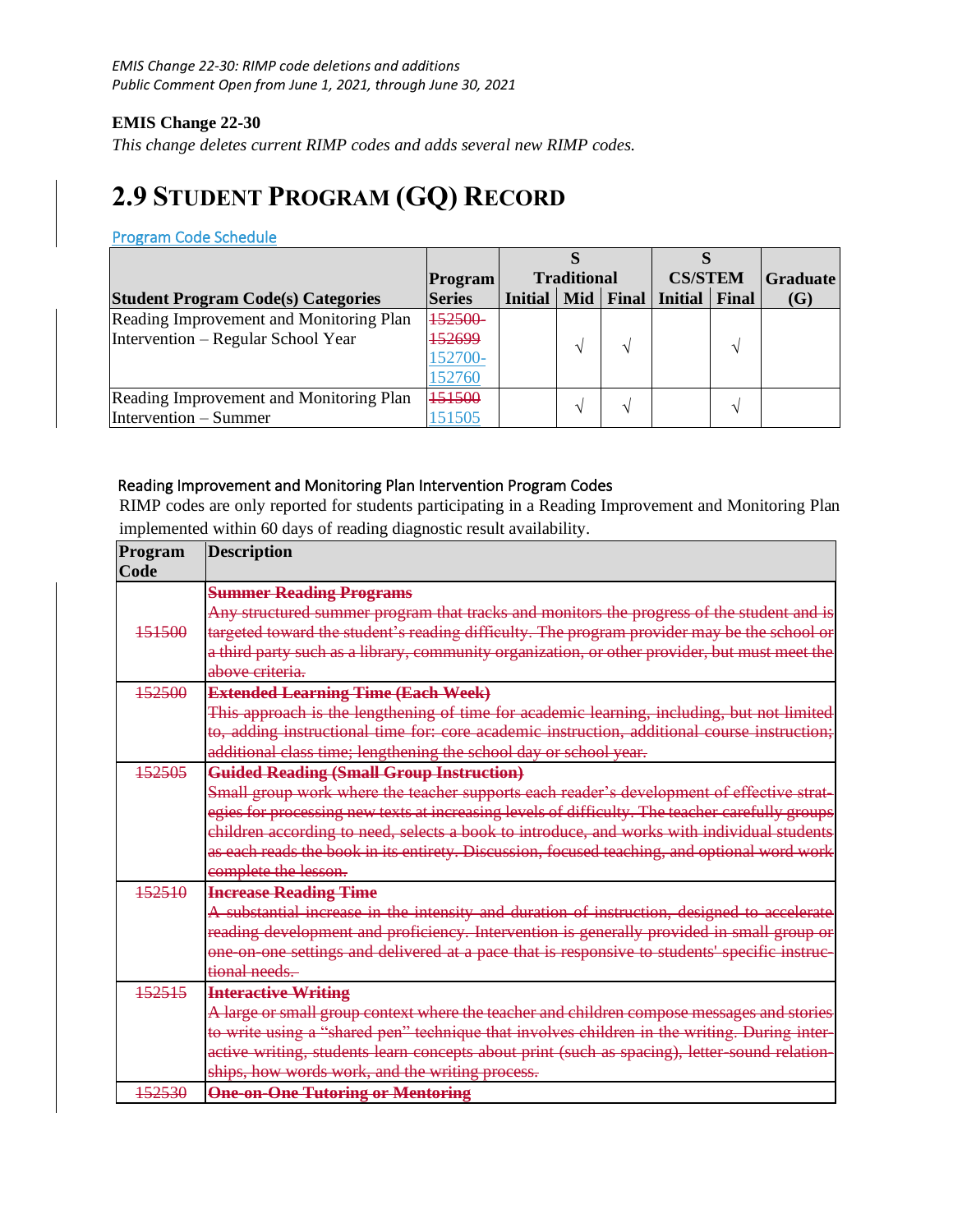## **EMIS Change 22-30**

*This change deletes current RIMP codes and adds several new RIMP codes.*

# **2.9 STUDENT PROGRAM (GQ) RECORD**

#### Program Code Schedule

|                                           | <b>Program</b> | <b>Traditional</b> |     | <b>CS/STEM</b> |                 | <b>Graduate</b> |     |
|-------------------------------------------|----------------|--------------------|-----|----------------|-----------------|-----------------|-----|
| <b>Student Program Code(s) Categories</b> | <b>Series</b>  | <b>Initial</b>     | Mid |                | Final   Initial | Final           | (G) |
| Reading Improvement and Monitoring Plan   | 152500         |                    |     |                |                 |                 |     |
| Intervention – Regular School Year        | 52699          |                    |     |                |                 |                 |     |
|                                           | 152700-        |                    |     |                |                 |                 |     |
|                                           | 152760         |                    |     |                |                 |                 |     |
| Reading Improvement and Monitoring Plan   | 151500         |                    |     |                |                 |                 |     |
| Intervention – Summer                     | 151505         |                    |     |                |                 |                 |     |

#### Reading Improvement and Monitoring Plan Intervention Program Codes

RIMP codes are only reported for students participating in a Reading Improvement and Monitoring Plan implemented within 60 days of reading diagnostic result availability.

| Program | <b>Description</b>                                                                              |
|---------|-------------------------------------------------------------------------------------------------|
| Code    |                                                                                                 |
|         | <b>Summer Reading Programs</b>                                                                  |
|         | Any structured summer program that tracks and monitors the progress of the student and is       |
| 151500  | targeted toward the student's reading difficulty. The program provider may be the school or     |
|         | a third party such as a library, community organization, or other provider, but must meet the   |
|         | above criteria.                                                                                 |
| 152500  | <b>Extended Learning Time (Each Week)</b>                                                       |
|         | This approach is the lengthening of time for academic learning, including, but not limited      |
|         | to, adding instructional time for: core academic instruction, additional course instruction;    |
|         | additional class time; lengthening the school day or school year.                               |
| 152505  | <b>Guided Reading (Small Group Instruction)</b>                                                 |
|         | Small group work where the teacher supports each reader's development of effective strat-       |
|         | egies for processing new texts at increasing levels of difficulty. The teacher carefully groups |
|         | children according to need, selects a book to introduce, and works with individual students     |
|         | as each reads the book in its entirety. Discussion, focused teaching, and optional word work    |
|         | complete the lesson.                                                                            |
| 152510  | <b>Increase Reading Time</b>                                                                    |
|         | A substantial increase in the intensity and duration of instruction, designed to accelerate     |
|         | reading development and proficiency. Intervention is generally provided in small group or       |
|         | one on one settings and delivered at a pace that is responsive to students' specific instruc-   |
|         | tional needs.                                                                                   |
| 152515  | <b>Interactive Writing</b>                                                                      |
|         | A large or small group context where the teacher and children compose messages and stories      |
|         | to write using a "shared pen" technique that involves children in the writing. During inter-    |
|         | active writing, students learn concepts about print (such as spacing), letter-sound relation-   |
|         | ships, how words work, and the writing process.                                                 |
| 152530  | <b>One-on-One Tutoring or Mentoring</b>                                                         |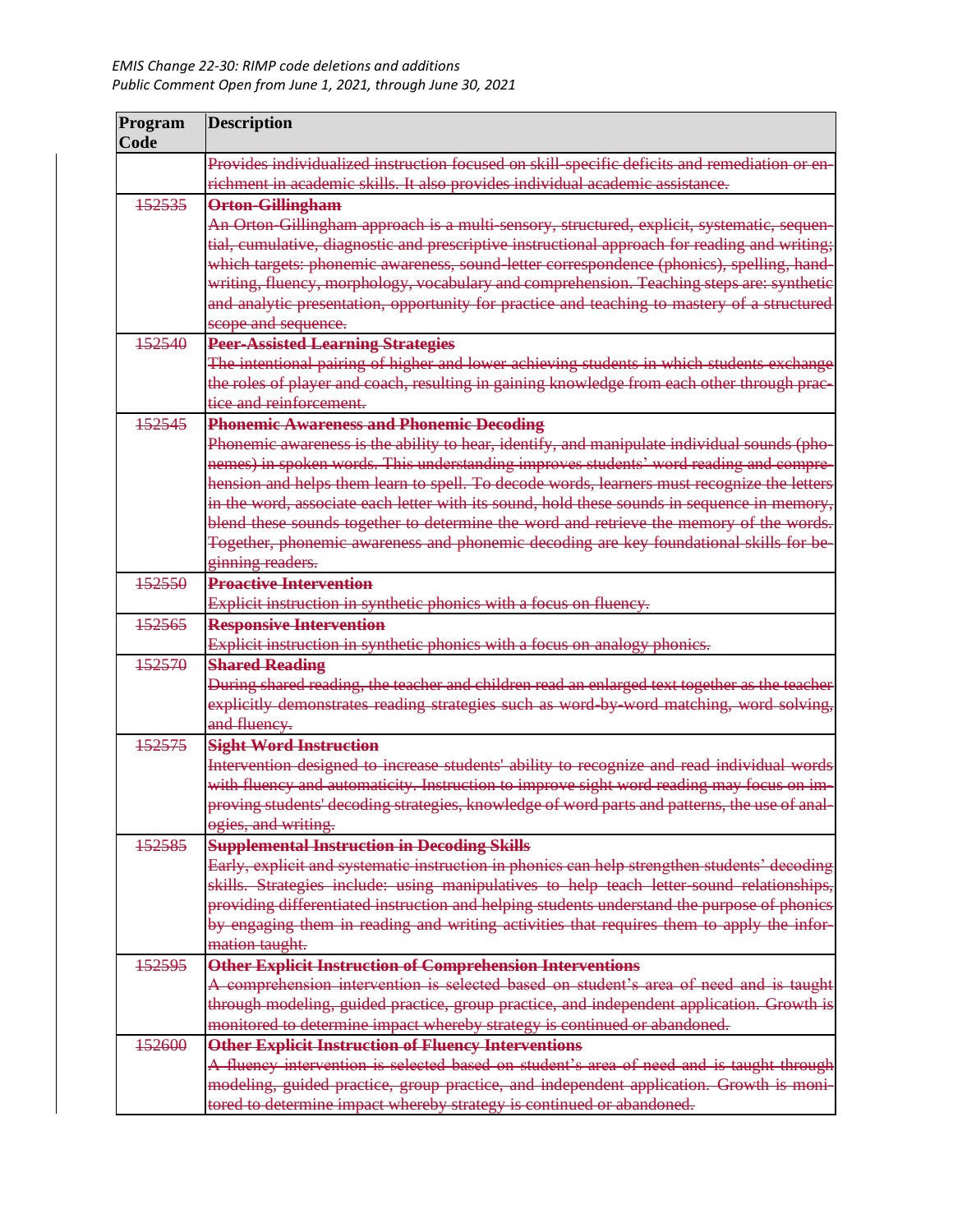| Program<br>Code | <b>Description</b>                                                                            |
|-----------------|-----------------------------------------------------------------------------------------------|
|                 | Provides individualized instruction focused on skill-specific deficits and remediation or en- |
|                 | richment in academic skills. It also provides individual academic assistance.                 |
| 152535          | <b>Orton-Gillingham</b>                                                                       |
|                 | An Orton-Gillingham approach is a multi-sensory, structured, explicit, systematic, sequen-    |
|                 | tial, cumulative, diagnostic and prescriptive instructional approach for reading and writing; |
|                 | which targets: phonemic awareness, sound-letter correspondence (phonics), spelling, hand-     |
|                 | writing, fluency, morphology, vocabulary and comprehension. Teaching steps are: synthetic     |
|                 | and analytic presentation, opportunity for practice and teaching to mastery of a structured   |
|                 | scope and sequence.                                                                           |
| 152540          | <b>Peer-Assisted Learning Strategies</b>                                                      |
|                 | The intentional pairing of higher and lower achieving students in which students exchange     |
|                 | the roles of player and coach, resulting in gaining knowledge from each other through prac-   |
|                 | tice and reinforcement.                                                                       |
| 152545          | <b>Phonemic Awareness and Phonemic Decoding</b>                                               |
|                 | Phonemic awareness is the ability to hear, identify, and manipulate individual sounds (pho-   |
|                 | nemes) in spoken words. This understanding improves students' word reading and compre-        |
|                 | hension and helps them learn to spell. To decode words, learners must recognize the letters   |
|                 | in the word, associate each letter with its sound, hold these sounds in sequence in memory,   |
|                 | blend these sounds together to determine the word and retrieve the memory of the words.       |
|                 | Together, phonemic awareness and phonemic decoding are key foundational skills for be-        |
|                 | ginning readers.                                                                              |
| 152550          | <b>Proactive Intervention</b>                                                                 |
|                 | Explicit instruction in synthetic phonics with a focus on fluency.                            |
| 152565          | <b>Responsive Intervention</b>                                                                |
|                 | Explicit instruction in synthetic phonics with a focus on analogy phonics.                    |
| 152570          | <b>Shared Reading</b>                                                                         |
|                 | During shared reading, the teacher and children read an enlarged text together as the teacher |
|                 | explicitly demonstrates reading strategies such as word by word matching, word solving,       |
|                 | and fluency.                                                                                  |
| 152575          | <b>Sight Word Instruction</b>                                                                 |
|                 | Intervention designed to increase students' ability to recognize and read individual words    |
|                 | with fluency and automaticity. Instruction to improve sight word reading may focus on im-     |
|                 | proving students' decoding strategies, knowledge of word parts and patterns, the use of anal- |
|                 | ogies, and writing.                                                                           |
| 152585          | <b>Supplemental Instruction in Decoding Skills</b>                                            |
|                 | Early, explicit and systematic instruction in phonics can help strengthen students' decoding  |
|                 | skills. Strategies include: using manipulatives to help teach letter-sound relationships,     |
|                 | providing differentiated instruction and helping students understand the purpose of phonics   |
|                 | by engaging them in reading and writing activities that requires them to apply the infor-     |
|                 | mation taught.                                                                                |
| 152595          | Other Explicit Instruction of Comprehension Interventions                                     |
|                 | A comprehension intervention is selected based on student's area of need and is taught        |
|                 | through modeling, guided practice, group practice, and independent application. Growth is     |
|                 | monitored to determine impact whereby strategy is continued or abandoned.                     |
| 152600          | <b>Other Explicit Instruction of Fluency Interventions</b>                                    |
|                 | A fluency intervention is selected based on student's area of need and is taught through      |
|                 | modeling, guided practice, group practice, and independent application. Growth is moni-       |
|                 | tored to determine impact whereby strategy is continued or abandoned.                         |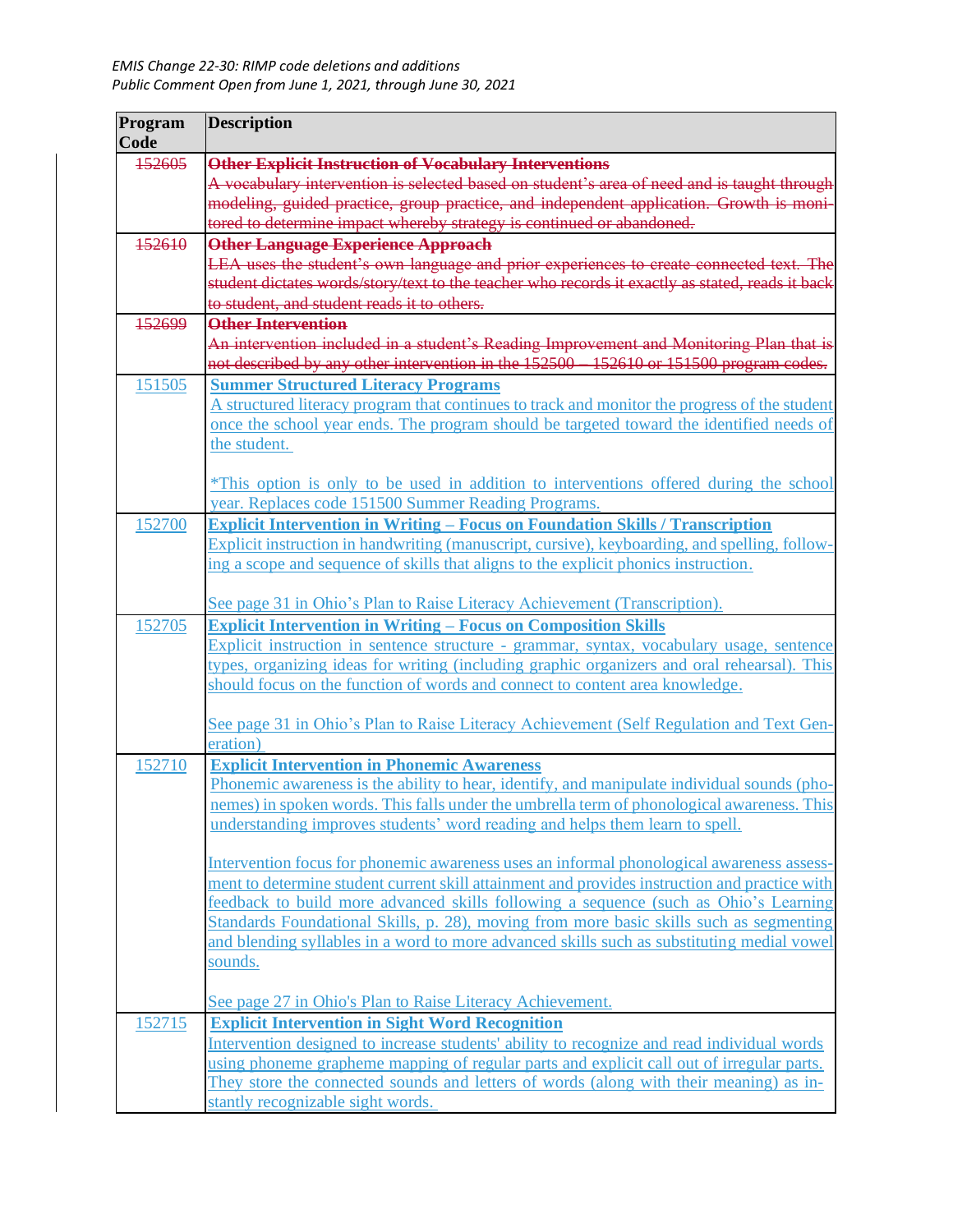| Program<br>Code | <b>Description</b>                                                                                                                                                                 |
|-----------------|------------------------------------------------------------------------------------------------------------------------------------------------------------------------------------|
| 152605          | <b>Other Explicit Instruction of Vocabulary Interventions</b>                                                                                                                      |
|                 | A vocabulary intervention is selected based on student's area of need and is taught through                                                                                        |
|                 | modeling, guided practice, group practice, and independent application. Growth is moni-                                                                                            |
|                 | tored to determine impact whereby strategy is continued or abandoned.                                                                                                              |
| 152610          | <b>Other Language Experience Approach</b>                                                                                                                                          |
|                 | LEA uses the student's own language and prior experiences to create connected text. The                                                                                            |
|                 | student dictates words/story/text to the teacher who records it exactly as stated, reads it back                                                                                   |
|                 | to student, and student reads it to others.                                                                                                                                        |
| 152699          | <b>Other Intervention</b>                                                                                                                                                          |
|                 | An intervention included in a student's Reading Improvement and Monitoring Plan that is<br>not described by any other intervention in the 152500 - 152610 or 151500 program codes. |
| 151505          | <b>Summer Structured Literacy Programs</b>                                                                                                                                         |
|                 | A structured literacy program that continues to track and monitor the progress of the student                                                                                      |
|                 | once the school year ends. The program should be targeted toward the identified needs of                                                                                           |
|                 | the student.                                                                                                                                                                       |
|                 | <i>*This option is only to be used in addition to interventions offered during the school</i>                                                                                      |
|                 | year. Replaces code 151500 Summer Reading Programs.                                                                                                                                |
| 152700          | <b>Explicit Intervention in Writing - Focus on Foundation Skills / Transcription</b>                                                                                               |
|                 | Explicit instruction in handwriting (manuscript, cursive), keyboarding, and spelling, follow-                                                                                      |
|                 | ing a scope and sequence of skills that aligns to the explicit phonics instruction.                                                                                                |
|                 | See page 31 in Ohio's Plan to Raise Literacy Achievement (Transcription).                                                                                                          |
| 152705          | <b>Explicit Intervention in Writing - Focus on Composition Skills</b>                                                                                                              |
|                 | Explicit instruction in sentence structure - grammar, syntax, vocabulary usage, sentence                                                                                           |
|                 | types, organizing ideas for writing (including graphic organizers and oral rehearsal). This                                                                                        |
|                 | should focus on the function of words and connect to content area knowledge.                                                                                                       |
|                 | See page 31 in Ohio's Plan to Raise Literacy Achievement (Self Regulation and Text Gen-                                                                                            |
|                 | eration)                                                                                                                                                                           |
| 152710          | <b>Explicit Intervention in Phonemic Awareness</b>                                                                                                                                 |
|                 | Phonemic awareness is the ability to hear, identify, and manipulate individual sounds (pho-                                                                                        |
|                 | nemes) in spoken words. This falls under the umbrella term of phonological awareness. This                                                                                         |
|                 | understanding improves students' word reading and helps them learn to spell.                                                                                                       |
|                 | Intervention focus for phonemic awareness uses an informal phonological awareness assess-                                                                                          |
|                 | ment to determine student current skill attainment and provides instruction and practice with                                                                                      |
|                 | feedback to build more advanced skills following a sequence (such as Ohio's Learning                                                                                               |
|                 | Standards Foundational Skills, p. 28), moving from more basic skills such as segmenting                                                                                            |
|                 | and blending syllables in a word to more advanced skills such as substituting medial vowel                                                                                         |
|                 | sounds.                                                                                                                                                                            |
|                 | See page 27 in Ohio's Plan to Raise Literacy Achievement.                                                                                                                          |
| 152715          | <b>Explicit Intervention in Sight Word Recognition</b>                                                                                                                             |
|                 | Intervention designed to increase students' ability to recognize and read individual words                                                                                         |
|                 | using phoneme grapheme mapping of regular parts and explicit call out of irregular parts.                                                                                          |
|                 | They store the connected sounds and letters of words (along with their meaning) as in-                                                                                             |
|                 | stantly recognizable sight words.                                                                                                                                                  |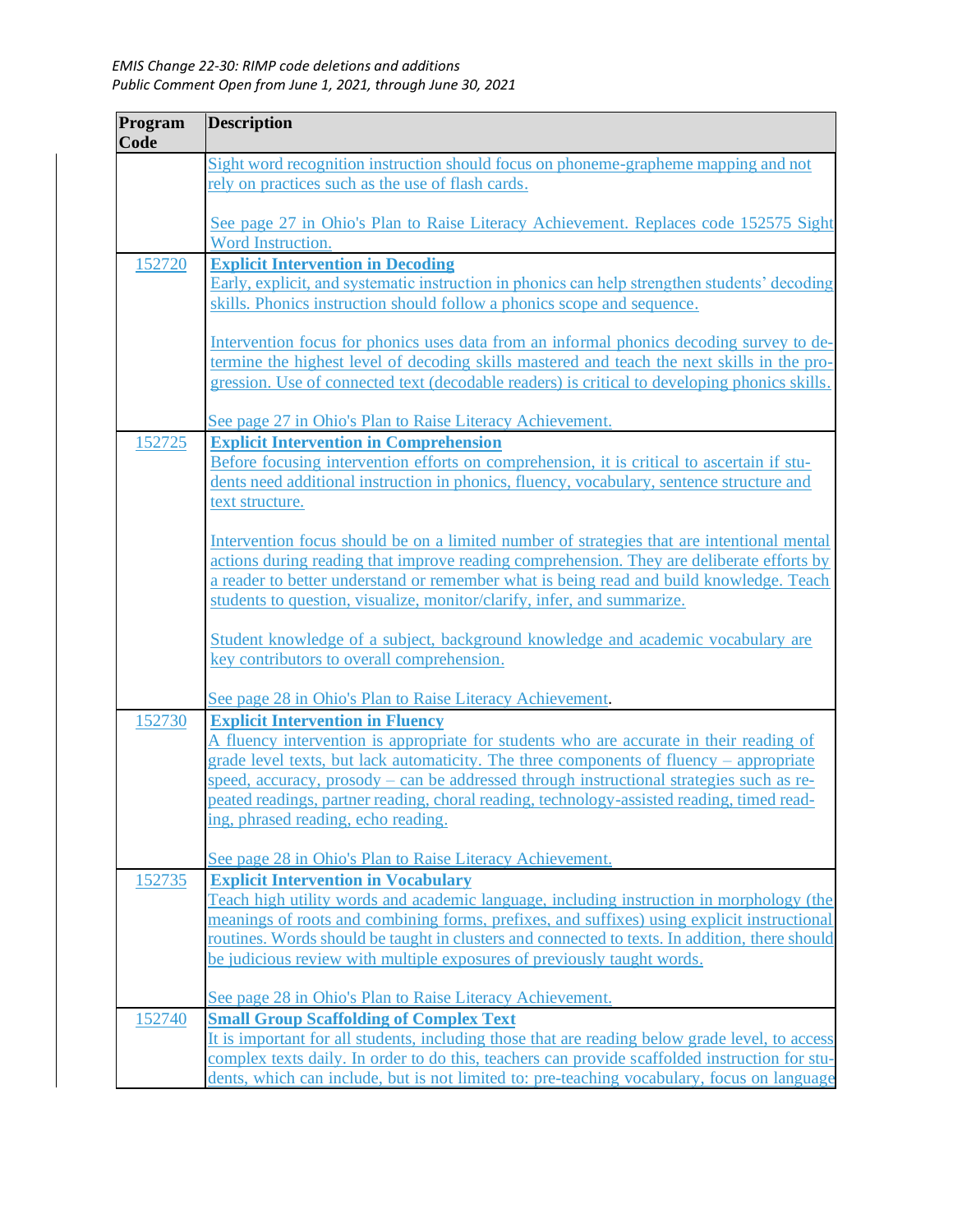| Program | <b>Description</b>                                                                                                                                                                     |
|---------|----------------------------------------------------------------------------------------------------------------------------------------------------------------------------------------|
| Code    |                                                                                                                                                                                        |
|         | Sight word recognition instruction should focus on phoneme-grapheme mapping and not                                                                                                    |
|         | rely on practices such as the use of flash cards.                                                                                                                                      |
|         |                                                                                                                                                                                        |
|         | See page 27 in Ohio's Plan to Raise Literacy Achievement. Replaces code 152575 Sight                                                                                                   |
|         | Word Instruction.                                                                                                                                                                      |
| 152720  | <b>Explicit Intervention in Decoding</b>                                                                                                                                               |
|         | Early, explicit, and systematic instruction in phonics can help strengthen students' decoding                                                                                          |
|         | skills. Phonics instruction should follow a phonics scope and sequence.                                                                                                                |
|         | Intervention focus for phonics uses data from an informal phonics decoding survey to de-                                                                                               |
|         | termine the highest level of decoding skills mastered and teach the next skills in the pro-                                                                                            |
|         | gression. Use of connected text (decodable readers) is critical to developing phonics skills.                                                                                          |
|         |                                                                                                                                                                                        |
|         | See page 27 in Ohio's Plan to Raise Literacy Achievement.                                                                                                                              |
| 152725  | <b>Explicit Intervention in Comprehension</b>                                                                                                                                          |
|         | Before focusing intervention efforts on comprehension, it is critical to ascertain if stu-                                                                                             |
|         | dents need additional instruction in phonics, fluency, vocabulary, sentence structure and                                                                                              |
|         | text structure.                                                                                                                                                                        |
|         |                                                                                                                                                                                        |
|         | Intervention focus should be on a limited number of strategies that are intentional mental                                                                                             |
|         | actions during reading that improve reading comprehension. They are deliberate efforts by                                                                                              |
|         | a reader to better understand or remember what is being read and build knowledge. Teach<br>students to question, visualize, monitor/clarify, infer, and summarize.                     |
|         |                                                                                                                                                                                        |
|         | Student knowledge of a subject, background knowledge and academic vocabulary are                                                                                                       |
|         | key contributors to overall comprehension.                                                                                                                                             |
|         |                                                                                                                                                                                        |
|         | See page 28 in Ohio's Plan to Raise Literacy Achievement.                                                                                                                              |
| 152730  | <b>Explicit Intervention in Fluency</b>                                                                                                                                                |
|         | A fluency intervention is appropriate for students who are accurate in their reading of                                                                                                |
|         | grade level texts, but lack automaticity. The three components of fluency – appropriate                                                                                                |
|         | speed, accuracy, prosody – can be addressed through instructional strategies such as re-<br>peated readings, partner reading, choral reading, technology-assisted reading, timed read- |
|         | ing, phrased reading, echo reading.                                                                                                                                                    |
|         |                                                                                                                                                                                        |
|         | See page 28 in Ohio's Plan to Raise Literacy Achievement.                                                                                                                              |
| 152735  | <b>Explicit Intervention in Vocabulary</b>                                                                                                                                             |
|         | Teach high utility words and academic language, including instruction in morphology (the                                                                                               |
|         | meanings of roots and combining forms, prefixes, and suffixes) using explicit instructional                                                                                            |
|         | routines. Words should be taught in clusters and connected to texts. In addition, there should                                                                                         |
|         | be judicious review with multiple exposures of previously taught words.                                                                                                                |
|         |                                                                                                                                                                                        |
|         | See page 28 in Ohio's Plan to Raise Literacy Achievement.                                                                                                                              |
| 152740  | <b>Small Group Scaffolding of Complex Text</b>                                                                                                                                         |
|         | It is important <u>for all students</u> , including those that are reading below grade level, to access                                                                                |
|         | complex texts daily. In order to do this, teachers can provide scaffolded instruction for stu-                                                                                         |
|         | dents, which can include, but is not limited to: pre-teaching vocabulary, focus on language                                                                                            |